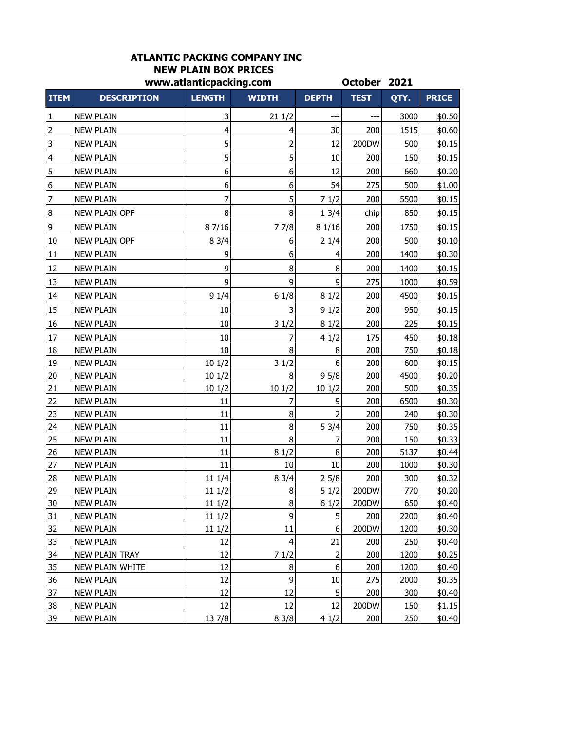#### **ATLANTIC PACKING COMPANY INC NEW PLAIN BOX PRICES www.atlanticpacking.com October 2021**

|                  |                       | www.auanucpacking.com   |                         |                  | <b>OCLODEL</b> | ZUZI |              |
|------------------|-----------------------|-------------------------|-------------------------|------------------|----------------|------|--------------|
| <b>ITEM</b>      | <b>DESCRIPTION</b>    | <b>LENGTH</b>           | <b>WIDTH</b>            | <b>DEPTH</b>     | <b>TEST</b>    | QTY. | <b>PRICE</b> |
| 1                | <b>NEW PLAIN</b>      | 3                       | 211/2                   | ---              | ---            | 3000 | \$0.50       |
| $\mathbf 2$      | <b>NEW PLAIN</b>      | $\overline{\mathbf{4}}$ | $\overline{\mathbf{4}}$ | 30               | 200            | 1515 | \$0.60       |
| 3                | <b>NEW PLAIN</b>      | 5                       | $\overline{2}$          | 12               | 200DW          | 500  | \$0.15       |
| 4                | <b>NEW PLAIN</b>      | 5                       | 5                       | 10               | 200            | 150  | \$0.15       |
| 5                | <b>NEW PLAIN</b>      | 6                       | $\boldsymbol{6}$        | 12               | 200            | 660  | \$0.20       |
| $\boldsymbol{6}$ | <b>NEW PLAIN</b>      | 6                       | 6                       | 54               | 275            | 500  | \$1.00       |
| 7                | <b>NEW PLAIN</b>      | 7                       | 5                       | 71/2             | 200            | 5500 | \$0.15       |
| 8                | NEW PLAIN OPF         | 8                       | 8                       | 13/4             | chip           | 850  | \$0.15       |
| 9                | <b>NEW PLAIN</b>      | 8 7/16                  | 77/8                    | 81/16            | 200            | 1750 | \$0.15       |
| 10               | NEW PLAIN OPF         | 83/4                    | 6                       | 21/4             | 200            | 500  | \$0.10       |
| $11\,$           | <b>NEW PLAIN</b>      | 9                       | 6                       | $\overline{4}$   | 200            | 1400 | \$0.30       |
| 12               | <b>NEW PLAIN</b>      | 9                       | 8                       | 8                | 200            | 1400 | \$0.15       |
| 13               | <b>NEW PLAIN</b>      | 9                       | 9                       | 9                | 275            | 1000 | \$0.59       |
| 14               | <b>NEW PLAIN</b>      | 91/4                    | 61/8                    | 81/2             | 200            | 4500 | \$0.15       |
| 15               | <b>NEW PLAIN</b>      | 10                      | 3                       | 91/2             | 200            | 950  | \$0.15       |
| 16               | <b>NEW PLAIN</b>      | 10                      | 31/2                    | 81/2             | 200            | 225  | \$0.15       |
| 17               | <b>NEW PLAIN</b>      | 10                      | 7                       | 41/2             | 175            | 450  | \$0.18       |
| 18               | <b>NEW PLAIN</b>      | 10                      | 8                       | 8                | 200            | 750  | \$0.18       |
| 19               | <b>NEW PLAIN</b>      | 101/2                   | 31/2                    | $\boldsymbol{6}$ | 200            | 600  | \$0.15       |
| 20               | <b>NEW PLAIN</b>      | 101/2                   | 8                       | 95/8             | 200            | 4500 | \$0.20       |
| 21               | <b>NEW PLAIN</b>      | 101/2                   | 101/2                   | 101/2            | 200            | 500  | \$0.35       |
| 22               | <b>NEW PLAIN</b>      | 11                      | 7                       | 9                | 200            | 6500 | \$0.30       |
| 23               | <b>NEW PLAIN</b>      | 11                      | 8                       | $\overline{2}$   | 200            | 240  | \$0.30       |
| 24               | <b>NEW PLAIN</b>      | 11                      | 8                       | 53/4             | 200            | 750  | \$0.35       |
| 25               | <b>NEW PLAIN</b>      | 11                      | 8                       | 7                | 200            | 150  | \$0.33       |
| 26               | <b>NEW PLAIN</b>      | 11                      | 81/2                    | 8                | 200            | 5137 | \$0.44       |
| 27               | <b>NEW PLAIN</b>      | 11                      | $10\,$                  | $10\,$           | 200            | 1000 | \$0.30       |
| 28               | <b>NEW PLAIN</b>      | 11 1/4                  | 83/4                    | 25/8             | 200            | 300  | \$0.32       |
| 29               | <b>NEW PLAIN</b>      | 111/2                   | 8                       | 51/2             | 200DW          | 770  | \$0.20       |
| 30               | <b>NEW PLAIN</b>      | 111/2                   | 8                       | 61/2             | 200DW          | 650  | \$0.40       |
| 31               | <b>NEW PLAIN</b>      | 11 1/2                  | 9                       | 5                | 200            | 2200 | \$0.40       |
| 32               | <b>NEW PLAIN</b>      | 111/2                   | 11                      | 6                | 200DW          | 1200 | \$0.30       |
| 33               | <b>NEW PLAIN</b>      | 12                      | $\overline{\mathbf{4}}$ | 21               | 200            | 250  | \$0.40       |
| 34               | <b>NEW PLAIN TRAY</b> | 12                      | 71/2                    | $\overline{2}$   | 200            | 1200 | \$0.25       |
| 35               | NEW PLAIN WHITE       | 12                      | 8                       | 6                | 200            | 1200 | \$0.40       |
| 36               | <b>NEW PLAIN</b>      | 12                      | 9                       | $10\,$           | 275            | 2000 | \$0.35       |
| 37               | <b>NEW PLAIN</b>      | 12                      | 12                      | 5                | 200            | 300  | \$0.40       |
| 38               | <b>NEW PLAIN</b>      | 12                      | 12                      | 12               | 200DW          | 150  | \$1.15       |
| 39               | <b>NEW PLAIN</b>      | 13 7/8                  | 83/8                    | 41/2             | 200            | 250  | \$0.40       |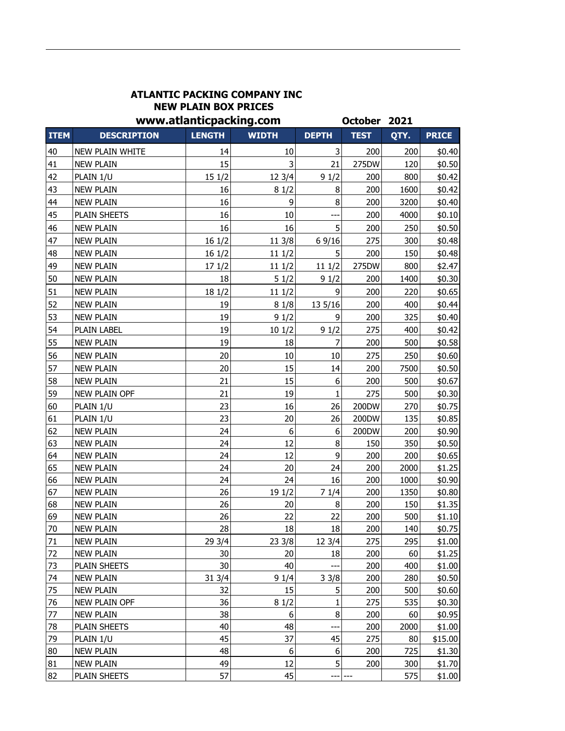# **ATLANTIC PACKING COMPANY INC NEW PLAIN BOX PRICES**

|             | www.atlanticpacking.com |               |                  |              | <b>October</b> | 2021 |              |
|-------------|-------------------------|---------------|------------------|--------------|----------------|------|--------------|
| <b>ITEM</b> | <b>DESCRIPTION</b>      | <b>LENGTH</b> | <b>WIDTH</b>     | <b>DEPTH</b> | <b>TEST</b>    | QTY. | <b>PRICE</b> |
| 40          | NEW PLAIN WHITE         | 14            | 10               | 3            | 200            | 200  | \$0.40       |
| 41          | <b>NEW PLAIN</b>        | 15            | 3                | 21           | 275DW          | 120  | \$0.50       |
| 42          | PLAIN 1/U               | 151/2         | 12 3/4           | 91/2         | 200            | 800  | \$0.42       |
| 43          | <b>NEW PLAIN</b>        | 16            | 81/2             | 8            | 200            | 1600 | \$0.42       |
| 44          | <b>NEW PLAIN</b>        | 16            | 9                | 8            | 200            | 3200 | \$0.40       |
| 45          | <b>PLAIN SHEETS</b>     | 16            | 10               |              | 200            | 4000 | \$0.10       |
| 46          | <b>NEW PLAIN</b>        | 16            | 16               | 5            | 200            | 250  | \$0.50       |
| 47          | <b>NEW PLAIN</b>        | 161/2         | 11 3/8           | 6 9/16       | 275            | 300  | \$0.48       |
| 48          | <b>NEW PLAIN</b>        | 161/2         | 11 1/2           | 5            | 200            | 150  | \$0.48       |
| 49          | <b>NEW PLAIN</b>        | 171/2         | 111/2            | 111/2        | 275DW          | 800  | \$2.47       |
| 50          | <b>NEW PLAIN</b>        | 18            | 51/2             | 91/2         | 200            | 1400 | \$0.30       |
| 51          | <b>NEW PLAIN</b>        | 18 1/2        | 11 1/2           | 9            | 200            | 220  | \$0.65       |
| 52          | <b>NEW PLAIN</b>        | 19            | 81/8             | 13 5/16      | 200            | 400  | \$0.44       |
| 53          | <b>NEW PLAIN</b>        | 19            | 91/2             | 9            | 200            | 325  | \$0.40       |
| 54          | PLAIN LABEL             | 19            | 101/2            | 91/2         | 275            | 400  | \$0.42       |
| 55          | <b>NEW PLAIN</b>        | 19            | 18               | 7            | 200            | 500  | \$0.58       |
| 56          | <b>NEW PLAIN</b>        | 20            | $10\,$           | 10           | 275            | 250  | \$0.60       |
| 57          | <b>NEW PLAIN</b>        | 20            | 15               | 14           | 200            | 7500 | \$0.50       |
| 58          | <b>NEW PLAIN</b>        | 21            | 15               | 6            | 200            | 500  | \$0.67       |
| 59          | NEW PLAIN OPF           | 21            | 19               | $\mathbf{1}$ | 275            | 500  | \$0.30       |
| 60          | PLAIN 1/U               | 23            | 16               | 26           | 200DW          | 270  | \$0.75       |
| 61          | PLAIN 1/U               | 23            | 20               | 26           | 200DW          | 135  | \$0.85       |
| 62          | <b>NEW PLAIN</b>        | 24            | $\boldsymbol{6}$ | 6            | 200DW          | 200  | \$0.90       |
| 63          | <b>NEW PLAIN</b>        | 24            | 12               | 8            | 150            | 350  | \$0.50       |
| 64          | <b>NEW PLAIN</b>        | 24            | 12               | 9            | 200            | 200  | \$0.65       |
| 65          | <b>NEW PLAIN</b>        | 24            | 20               | 24           | 200            | 2000 | \$1.25       |
| 66          | <b>NEW PLAIN</b>        | 24            | 24               | 16           | 200            | 1000 | \$0.90       |
| 67          | <b>NEW PLAIN</b>        | 26            | 19 1/2           | 71/4         | 200            | 1350 | \$0.80       |
| 68          | <b>NEW PLAIN</b>        | 26            | 20               | 8            | 200            | 150  | \$1.35       |
| 69          | <b>NEW PLAIN</b>        | 26            | 22               | 22           | 200            | 500  | \$1.10       |
| 70          | <b>NEW PLAIN</b>        | 28            | 18               | 18           | 200            | 140  | \$0.75       |
| 71          | <b>NEW PLAIN</b>        | 293/4         | 233/8            | 123/4        | 275            | 295  | \$1.00       |
| 72          | <b>NEW PLAIN</b>        | 30            | 20               | 18           | 200            | 60   | \$1.25       |
| 73          | PLAIN SHEETS            | 30            | 40               | ---          | 200            | 400  | \$1.00       |
| 74          | <b>NEW PLAIN</b>        | 31 3/4        | 91/4             | 33/8         | 200            | 280  | \$0.50       |
| 75          | <b>NEW PLAIN</b>        | 32            | 15               | 5            | 200            | 500  | \$0.60       |
| 76          | NEW PLAIN OPF           | 36            | 81/2             | 1            | 275            | 535  | \$0.30       |
| 77          | <b>NEW PLAIN</b>        | 38            | 6                | 8            | 200            | 60   | \$0.95       |
| 78          | <b>PLAIN SHEETS</b>     | 40            | 48               | ---          | 200            | 2000 | \$1.00       |
| 79          | PLAIN 1/U               | 45            | 37               | 45           | 275            | 80   | \$15.00      |
| 80          | <b>NEW PLAIN</b>        | 48            | 6                | 6            | 200            | 725  | \$1.30       |
| 81          | <b>NEW PLAIN</b>        | 49            | 12               | 5            | 200            | 300  | \$1.70       |
| 82          | <b>PLAIN SHEETS</b>     | 57            | 45               | ---          |                | 575  | \$1.00       |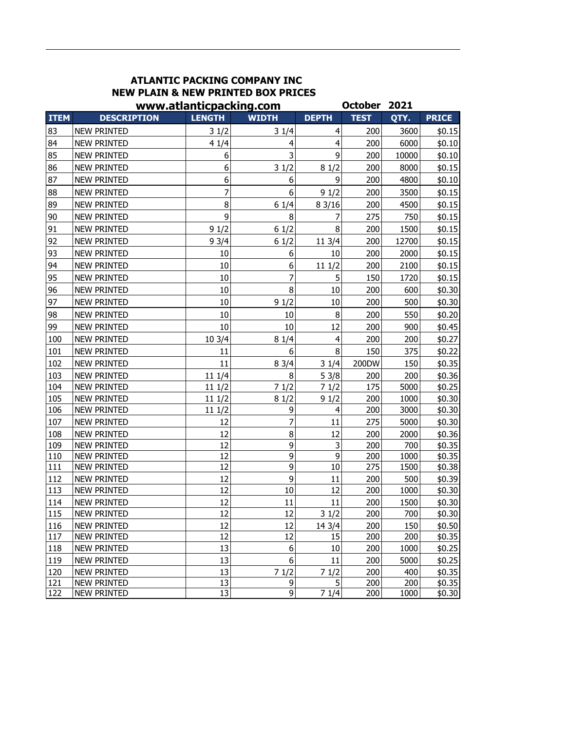# **ATLANTIC PACKING COMPANY INC NEW PLAIN & NEW PRINTED BOX PRICES**

|             |                    |                | www.atlanticpacking.com |                         | <b>October</b> | 2021  |              |
|-------------|--------------------|----------------|-------------------------|-------------------------|----------------|-------|--------------|
| <b>ITEM</b> | <b>DESCRIPTION</b> | <b>LENGTH</b>  | <b>WIDTH</b>            | <b>DEPTH</b>            | <b>TEST</b>    | QTY.  | <b>PRICE</b> |
| 83          | <b>NEW PRINTED</b> | 31/2           | 31/4                    | 4                       | 200            | 3600  | \$0.15       |
| 84          | <b>NEW PRINTED</b> | 41/4           | 4                       | 4                       | 200            | 6000  | \$0.10       |
| 85          | <b>NEW PRINTED</b> | 6              | 3                       | 9                       | 200            | 10000 | \$0.10       |
| 86          | <b>NEW PRINTED</b> | 6              | 31/2                    | 81/2                    | 200            | 8000  | \$0.15       |
| 87          | <b>NEW PRINTED</b> | 6              | 6                       | 9                       | 200            | 4800  | \$0.10       |
| 88          | <b>NEW PRINTED</b> | $\overline{7}$ | 6                       | 91/2                    | 200            | 3500  | \$0.15       |
| 89          | <b>NEW PRINTED</b> | 8              | 61/4                    | 8 3/16                  | 200            | 4500  | \$0.15       |
| 90          | <b>NEW PRINTED</b> | 9              | 8                       | 7                       | 275            | 750   | \$0.15       |
| 91          | <b>NEW PRINTED</b> | 91/2           | 61/2                    | 8                       | 200            | 1500  | \$0.15       |
| 92          | <b>NEW PRINTED</b> | 93/4           | 61/2                    | 11 3/4                  | 200            | 12700 | \$0.15       |
| 93          | <b>NEW PRINTED</b> | 10             | 6                       | 10                      | 200            | 2000  | \$0.15       |
| 94          | <b>NEW PRINTED</b> | 10             | 6                       | 111/2                   | 200            | 2100  | \$0.15       |
| 95          | <b>NEW PRINTED</b> | 10             | 7                       | 5                       | 150            | 1720  | \$0.15       |
| 96          | <b>NEW PRINTED</b> | 10             | 8                       | $10\,$                  | 200            | 600   | \$0.30       |
| 97          | <b>NEW PRINTED</b> | 10             | 91/2                    | 10                      | 200            | 500   | \$0.30       |
| 98          | <b>NEW PRINTED</b> | 10             | 10                      | $\,8\,$                 | 200            | 550   | \$0.20       |
| 99          | <b>NEW PRINTED</b> | 10             | 10                      | 12                      | 200            | 900   | \$0.45       |
| 100         | <b>NEW PRINTED</b> | 103/4          | 81/4                    | $\overline{4}$          | 200            | 200   | \$0.27       |
| 101         | <b>NEW PRINTED</b> | 11             | 6                       | 8                       | 150            | 375   | \$0.22       |
| 102         | <b>NEW PRINTED</b> | 11             | 83/4                    | 31/4                    | 200DW          | 150   | \$0.35       |
| 103         | <b>NEW PRINTED</b> | 11 1/4         | 8                       | 53/8                    | 200            | 200   | \$0.36       |
| 104         | <b>NEW PRINTED</b> | 111/2          | 71/2                    | 71/2                    | 175            | 5000  | \$0.25       |
| 105         | <b>NEW PRINTED</b> | 111/2          | 81/2                    | 91/2                    | 200            | 1000  | \$0.30       |
| 106         | <b>NEW PRINTED</b> | 111/2          | 9                       | 4                       | 200            | 3000  | \$0.30       |
| 107         | <b>NEW PRINTED</b> | 12             | 7                       | 11                      | 275            | 5000  | \$0.30       |
| 108         | <b>NEW PRINTED</b> | 12             | 8                       | 12                      | 200            | 2000  | \$0.36       |
| 109         | <b>NEW PRINTED</b> | 12             | $\overline{9}$          | $\overline{\mathbf{3}}$ | 200            | 700   | \$0.35       |
| 110         | <b>NEW PRINTED</b> | 12             | $\overline{9}$          | 9                       | 200            | 1000  | \$0.35       |
| 111         | <b>NEW PRINTED</b> | 12             | $\overline{9}$          | 10                      | 275            | 1500  | \$0.38       |
| 112         | <b>NEW PRINTED</b> | 12             | 9                       | 11                      | 200            | 500   | \$0.39       |
| 113         | <b>NEW PRINTED</b> | 12             | $10\,$                  | 12                      | 200            | 1000  | \$0.30       |
| 114         | <b>NEW PRINTED</b> | 12             | 11                      | 11                      | 200            | 1500  | \$0.30       |
| 115         | <b>NEW PRINTED</b> | 12             | 12                      | 31/2                    | 200            | 700   | \$0.30       |
| 116         | <b>NEW PRINTED</b> | 12             | 12                      | 14 3/4                  | 200            | 150   | \$0.50       |
| 117         | <b>NEW PRINTED</b> | 12             | 12                      | 15                      | 200            | 200   | \$0.35       |
| 118         | <b>NEW PRINTED</b> | 13             | 6                       | 10                      | 200            | 1000  | \$0.25       |
| 119         | <b>NEW PRINTED</b> | 13             | 6                       | 11                      | 200            | 5000  | \$0.25       |
| 120         | <b>NEW PRINTED</b> | 13             | 71/2                    | 71/2                    | 200            | 400   | \$0.35       |
| 121         | <b>NEW PRINTED</b> | 13             | 9                       | 5 <sup>1</sup>          | 200            | 200   | \$0.35       |
| 122         | <b>NEW PRINTED</b> | 13             | $\overline{9}$          | 71/4                    | 200            | 1000  | \$0.30       |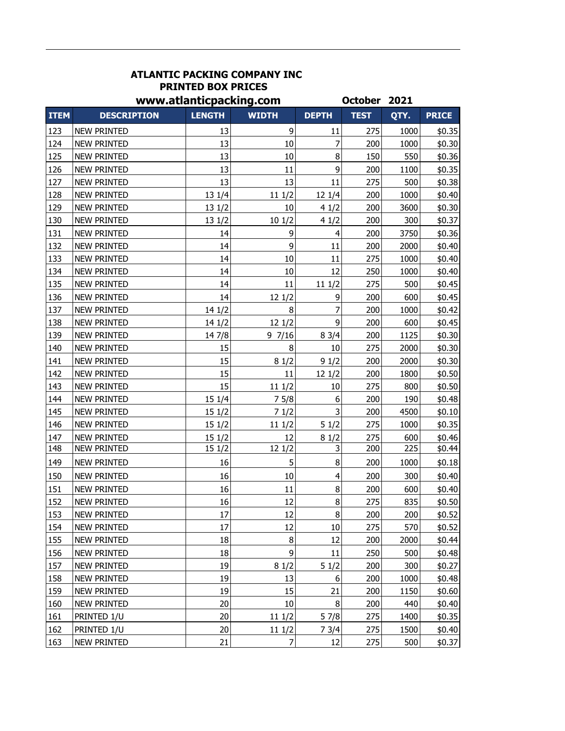#### **ATLANTIC PACKING COMPANY INC PRINTED BOX PRICES www.atlanticpacking.com October 2021**

|             |                    |               | auanuvpavniigivoin |                |             |      |              |
|-------------|--------------------|---------------|--------------------|----------------|-------------|------|--------------|
| <b>ITEM</b> | <b>DESCRIPTION</b> | <b>LENGTH</b> | <b>WIDTH</b>       | <b>DEPTH</b>   | <b>TEST</b> | QTY. | <b>PRICE</b> |
| 123         | <b>NEW PRINTED</b> | 13            | 9                  | 11             | 275         | 1000 | \$0.35       |
| 124         | <b>NEW PRINTED</b> | 13            | 10                 | $\overline{7}$ | 200         | 1000 | \$0.30       |
| 125         | <b>NEW PRINTED</b> | 13            | 10                 | 8              | 150         | 550  | \$0.36       |
| 126         | <b>NEW PRINTED</b> | 13            | 11                 | 9              | 200         | 1100 | \$0.35       |
| 127         | <b>NEW PRINTED</b> | 13            | 13                 | 11             | 275         | 500  | \$0.38       |
| 128         | <b>NEW PRINTED</b> | 13 1/4        | 111/2              | 121/4          | 200         | 1000 | \$0.40       |
| 129         | <b>NEW PRINTED</b> | 13 1/2        | 10                 | 41/2           | 200         | 3600 | \$0.30       |
| 130         | <b>NEW PRINTED</b> | 13 1/2        | 101/2              | 41/2           | 200         | 300  | \$0.37       |
| 131         | <b>NEW PRINTED</b> | 14            | 9                  | $\overline{4}$ | 200         | 3750 | \$0.36       |
| 132         | <b>NEW PRINTED</b> | 14            | 9                  | 11             | 200         | 2000 | \$0.40       |
| 133         | <b>NEW PRINTED</b> | 14            | 10                 | 11             | 275         | 1000 | \$0.40       |
| 134         | <b>NEW PRINTED</b> | 14            | 10                 | 12             | 250         | 1000 | \$0.40       |
| 135         | <b>NEW PRINTED</b> | 14            | 11                 | 111/2          | 275         | 500  | \$0.45       |
| 136         | <b>NEW PRINTED</b> | 14            | 121/2              | 9              | 200         | 600  | \$0.45       |
| 137         | <b>NEW PRINTED</b> | 141/2         | 8                  | $\overline{7}$ | 200         | 1000 | \$0.42       |
| 138         | <b>NEW PRINTED</b> | 14 1/2        | 12 1/2             | 9              | 200         | 600  | \$0.45       |
| 139         | <b>NEW PRINTED</b> | 14 7/8        | 97/16              | 83/4           | 200         | 1125 | \$0.30       |
| 140         | <b>NEW PRINTED</b> | 15            | 8                  | 10             | 275         | 2000 | \$0.30       |
| 141         | <b>NEW PRINTED</b> | 15            | 81/2               | 91/2           | 200         | 2000 | \$0.30       |
| 142         | <b>NEW PRINTED</b> | 15            | 11                 | 121/2          | 200         | 1800 | \$0.50       |
| 143         | <b>NEW PRINTED</b> | 15            | 111/2              | $10\,$         | 275         | 800  | \$0.50       |
| 144         | <b>NEW PRINTED</b> | 15 1/4        | 75/8               | 6              | 200         | 190  | \$0.48       |
| 145         | <b>NEW PRINTED</b> | 151/2         | 71/2               | 3              | 200         | 4500 | \$0.10       |
| 146         | <b>NEW PRINTED</b> | 151/2         | 111/2              | 51/2           | 275         | 1000 | \$0.35       |
| 147         | <b>NEW PRINTED</b> | 151/2         | 12                 | 81/2           | 275         | 600  | \$0.46       |
| 148         | <b>NEW PRINTED</b> | 151/2         | 121/2              | 3              | 200         | 225  | \$0.44       |
| 149         | <b>NEW PRINTED</b> | 16            | 5                  | 8              | 200         | 1000 | \$0.18       |
| 150         | <b>NEW PRINTED</b> | 16            | 10                 | $\overline{4}$ | 200         | 300  | \$0.40       |
| 151         | <b>NEW PRINTED</b> | 16            | 11                 | 8              | 200         | 600  | \$0.40       |
| 152         | <b>NEW PRINTED</b> | 16            | 12                 | 8              | 275         | 835  | \$0.50       |
| 153         | <b>NEW PRINTED</b> | 17            | 12                 | 8 <sup>1</sup> | 200         | 200  | \$0.52       |
| 154         | <b>NEW PRINTED</b> | 17            | 12                 | 10             | 275         | 570  | \$0.52       |
| 155         | NEW PRINTED        | 18            | 8                  | 12             | 200         | 2000 | \$0.44       |
| 156         | <b>NEW PRINTED</b> | 18            | 9                  | 11             | 250         | 500  | \$0.48       |
| 157         | <b>NEW PRINTED</b> | 19            | 81/2               | 51/2           | 200         | 300  | \$0.27       |
| 158         | <b>NEW PRINTED</b> | 19            | 13                 | 6              | 200         | 1000 | \$0.48       |
| 159         | <b>NEW PRINTED</b> | 19            | 15                 | 21             | 200         | 1150 | \$0.60       |
| 160         | <b>NEW PRINTED</b> | 20            | $10\,$             | 8              | 200         | 440  | \$0.40       |
| 161         | PRINTED 1/U        | 20            | 111/2              | 57/8           | 275         | 1400 | \$0.35       |
| 162         | PRINTED 1/U        | 20            | 111/2              | 73/4           | 275         | 1500 | \$0.40       |
| 163         | <b>NEW PRINTED</b> | 21            | $\overline{7}$     | 12             | 275         | 500  | \$0.37       |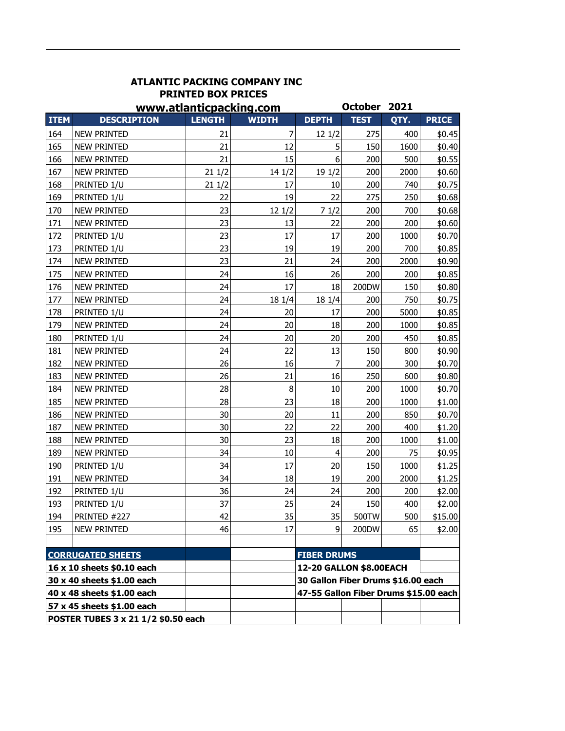### **ATLANTIC PACKING COMPANY INC PRINTED BOX PRICES**

|                                                | www.atlanticpacking.com                               |               |              |                                       | October 2021 |      |              |
|------------------------------------------------|-------------------------------------------------------|---------------|--------------|---------------------------------------|--------------|------|--------------|
| <b>ITEM</b>                                    | <b>DESCRIPTION</b>                                    | <b>LENGTH</b> | <b>WIDTH</b> | <b>DEPTH</b>                          | <b>TEST</b>  | QTY. | <b>PRICE</b> |
| 164                                            | <b>NEW PRINTED</b>                                    | 21            | 7            | 121/2                                 | 275          | 400  | \$0.45       |
| 165                                            | <b>NEW PRINTED</b>                                    | 21            | 12           | 5                                     | 150          | 1600 | \$0.40       |
| 166                                            | <b>NEW PRINTED</b>                                    | 21            | 15           | 6                                     | 200          | 500  | \$0.55       |
| 167                                            | <b>NEW PRINTED</b>                                    | 211/2         | 141/2        | 19 1/2                                | 200          | 2000 | \$0.60       |
| 168                                            | PRINTED 1/U                                           | 211/2         | 17           | 10                                    | 200          | 740  | \$0.75       |
| 169                                            | PRINTED 1/U                                           | 22            | 19           | 22                                    | 275          | 250  | \$0.68       |
| 170                                            | <b>NEW PRINTED</b>                                    | 23            | 121/2        | 71/2                                  | 200          | 700  | \$0.68       |
| 171                                            | <b>NEW PRINTED</b>                                    | 23            | 13           | 22                                    | 200          | 200  | \$0.60       |
| 172                                            | PRINTED 1/U                                           | 23            | 17           | 17                                    | 200          | 1000 | \$0.70       |
| 173                                            | PRINTED 1/U                                           | 23            | 19           | 19                                    | 200          | 700  | \$0.85       |
| 174                                            | <b>NEW PRINTED</b>                                    | 23            | 21           | 24                                    | 200          | 2000 | \$0.90       |
| 175                                            | <b>NEW PRINTED</b>                                    | 24            | 16           | 26                                    | 200          | 200  | \$0.85       |
| 176                                            | <b>NEW PRINTED</b>                                    | 24            | 17           | 18                                    | 200DW        | 150  | \$0.80       |
| 177                                            | <b>NEW PRINTED</b>                                    | 24            | 18 1/4       | 18 1/4                                | 200          | 750  | \$0.75       |
| 178                                            | PRINTED 1/U                                           | 24            | 20           | 17                                    | 200          | 5000 | \$0.85       |
| 179                                            | <b>NEW PRINTED</b>                                    | 24            | 20           | 18                                    | 200          | 1000 | \$0.85       |
| 180                                            | PRINTED 1/U                                           | 24            | 20           | 20                                    | 200          | 450  | \$0.85       |
| 181                                            | <b>NEW PRINTED</b>                                    | 24            | 22           | 13                                    | 150          | 800  | \$0.90       |
| 182                                            | <b>NEW PRINTED</b>                                    | 26            | 16           | $\overline{7}$                        | 200          | 300  | \$0.70       |
| 183                                            | <b>NEW PRINTED</b>                                    | 26            | 21           | 16                                    | 250          | 600  | \$0.80       |
| 184                                            | <b>NEW PRINTED</b>                                    | 28            | 8            | 10                                    | 200          | 1000 | \$0.70       |
| 185                                            | <b>NEW PRINTED</b>                                    | 28            | 23           | 18                                    | 200          | 1000 | \$1.00       |
| 186                                            | <b>NEW PRINTED</b>                                    | 30            | 20           | 11                                    | 200          | 850  | \$0.70       |
| 187                                            | <b>NEW PRINTED</b>                                    | 30            | 22           | 22                                    | 200          | 400  | \$1.20       |
| 188                                            | <b>NEW PRINTED</b>                                    | 30            | 23           | 18                                    | 200          | 1000 | \$1.00       |
| 189                                            | <b>NEW PRINTED</b>                                    | 34            | 10           | $\overline{4}$                        | 200          | 75   | \$0.95       |
| 190                                            | PRINTED 1/U                                           | 34            | 17           | 20                                    | 150          | 1000 | \$1.25       |
| 191                                            | <b>NEW PRINTED</b>                                    | 34            | 18           | 19                                    | 200          | 2000 | \$1.25       |
| 192                                            | PRINTED 1/U                                           | 36            | 24           | 24                                    | 200          | 200  | \$2.00       |
| 193                                            | PRINTED 1/U                                           | 37            | 25           | 24                                    | 150          | 400  | \$2.00       |
| 194                                            | PRINTED #227                                          | 42            | 35           | 35                                    | 500TW        | 500  | \$15.00      |
| 195                                            | NEW PRINTED                                           | 46            | 17           | 9                                     | 200DW        | 65   | \$2.00       |
|                                                |                                                       |               |              |                                       |              |      |              |
| <b>CORRUGATED SHEETS</b><br><b>FIBER DRUMS</b> |                                                       |               |              |                                       |              |      |              |
|                                                | 12-20 GALLON \$8.00EACH<br>16 x 10 sheets \$0.10 each |               |              |                                       |              |      |              |
|                                                | 30 x 40 sheets \$1.00 each                            |               |              | 30 Gallon Fiber Drums \$16.00 each    |              |      |              |
|                                                | 40 x 48 sheets \$1.00 each                            |               |              | 47-55 Gallon Fiber Drums \$15.00 each |              |      |              |
|                                                | 57 x 45 sheets \$1.00 each                            |               |              |                                       |              |      |              |
|                                                | POSTER TUBES 3 x 21 1/2 \$0.50 each                   |               |              |                                       |              |      |              |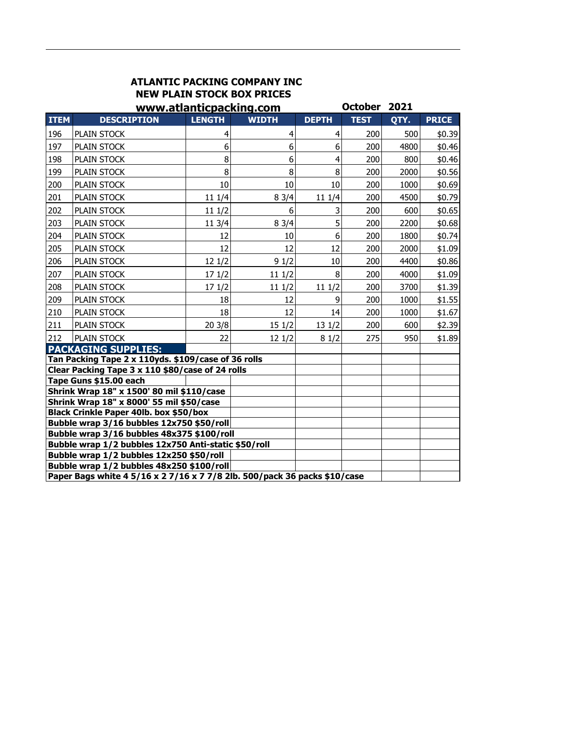## **ATLANTIC PACKING COMPANY INC NEW PLAIN STOCK BOX PRICES**

| <b>October</b><br>2021<br>www.atlanticpacking.com |                                                                                       |               |              |                         |             |      |              |  |  |
|---------------------------------------------------|---------------------------------------------------------------------------------------|---------------|--------------|-------------------------|-------------|------|--------------|--|--|
| <b>ITEM</b>                                       | <b>DESCRIPTION</b>                                                                    | <b>LENGTH</b> | <b>WIDTH</b> | <b>DEPTH</b>            | <b>TEST</b> | QTY. | <b>PRICE</b> |  |  |
| 196                                               | PLAIN STOCK                                                                           | 4             | 4            | 4                       | 200         | 500  | \$0.39       |  |  |
| 197                                               | PLAIN STOCK                                                                           | 6             | 6            | 6                       | 200         | 4800 | \$0.46       |  |  |
| 198                                               | PLAIN STOCK                                                                           | 8             | 6            | $\overline{\mathbf{4}}$ | 200         | 800  | \$0.46       |  |  |
| 199                                               | PLAIN STOCK                                                                           | 8             | 8            | 8                       | 200         | 2000 | \$0.56       |  |  |
| 200                                               | PLAIN STOCK                                                                           | 10            | 10           | 10                      | 200         | 1000 | \$0.69       |  |  |
| 201                                               | PLAIN STOCK                                                                           | 11 1/4        | 83/4         | 11 1/4                  | 200         | 4500 | \$0.79       |  |  |
| 202                                               | PLAIN STOCK                                                                           | 111/2         | 6            | 3                       | 200         | 600  | \$0.65       |  |  |
| 203                                               | PLAIN STOCK                                                                           | 11 3/4        | 83/4         | 5                       | 200         | 2200 | \$0.68       |  |  |
| 204                                               | PLAIN STOCK                                                                           | 12            | 10           | 6                       | 200         | 1800 | \$0.74       |  |  |
| 205                                               | PLAIN STOCK                                                                           | 12            | 12           | 12                      | 200         | 2000 | \$1.09       |  |  |
| 206                                               | PLAIN STOCK                                                                           | 12 1/2        | 91/2         | 10                      | 200         | 4400 | \$0.86       |  |  |
| 207                                               | PLAIN STOCK                                                                           | 171/2         | 11 1/2       | 8                       | 200         | 4000 | \$1.09       |  |  |
| 208                                               | PLAIN STOCK                                                                           | 17 1/2        | 111/2        | 111/2                   | 200         | 3700 | \$1.39       |  |  |
| 209                                               | PLAIN STOCK                                                                           | 18            | 12           | 9                       | 200         | 1000 | \$1.55       |  |  |
| 210                                               | PLAIN STOCK                                                                           | 18            | 12           | 14                      | 200         | 1000 | \$1.67       |  |  |
| 211                                               | PLAIN STOCK                                                                           | 203/8         | 151/2        | 131/2                   | 200         | 600  | \$2.39       |  |  |
| 212                                               | PLAIN STOCK                                                                           | 22            | 12 1/2       | 81/2                    | 275         | 950  | \$1.89       |  |  |
|                                                   | <b>PACKAGING SUPPLIES:</b>                                                            |               |              |                         |             |      |              |  |  |
|                                                   | Tan Packing Tape 2 x 110yds. \$109/case of 36 rolls                                   |               |              |                         |             |      |              |  |  |
|                                                   | Clear Packing Tape 3 x 110 \$80/case of 24 rolls<br>Tape Guns \$15.00 each            |               |              |                         |             |      |              |  |  |
|                                                   | Shrink Wrap 18" x 1500' 80 mil \$110/case                                             |               |              |                         |             |      |              |  |  |
|                                                   | Shrink Wrap 18" x 8000' 55 mil \$50/case                                              |               |              |                         |             |      |              |  |  |
|                                                   | Black Crinkle Paper 40lb. box \$50/box                                                |               |              |                         |             |      |              |  |  |
|                                                   | Bubble wrap 3/16 bubbles 12x750 \$50/roll                                             |               |              |                         |             |      |              |  |  |
|                                                   | Bubble wrap 3/16 bubbles 48x375 \$100/roll                                            |               |              |                         |             |      |              |  |  |
|                                                   | Bubble wrap 1/2 bubbles 12x750 Anti-static \$50/roll                                  |               |              |                         |             |      |              |  |  |
|                                                   | Bubble wrap 1/2 bubbles 12x250 \$50/roll<br>Bubble wrap 1/2 bubbles 48x250 \$100/roll |               |              |                         |             |      |              |  |  |
|                                                   | Paper Bags white 4 5/16 x 2 7/16 x 7 7/8 2lb. 500/pack 36 packs \$10/case             |               |              |                         |             |      |              |  |  |